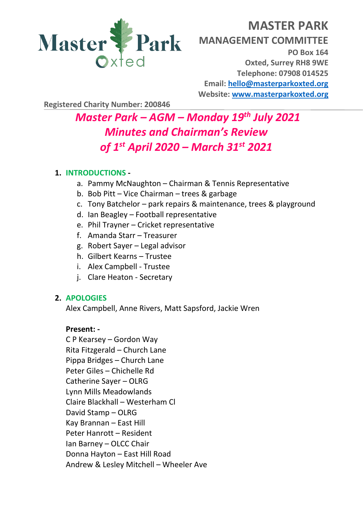

# **MASTER PARK MANAGEMENT COMMITTEE PO Box 164 Oxted, Surrey RH8 9WE Telephone: 07908 014525 Email: [hello@masterparkoxted.org](mailto:hello@masterparkoxted.org) Website: [www.masterparkoxted.org](http://www.masterparkoxted.org/)**

**Registered Charity Number: 200846**

# *Master Park – AGM – Monday 19 th July 2021 Minutes and Chairman's Review of 1 st April 2020 – March 31st 2021*

## **1. INTRODUCTIONS -**

- a. Pammy McNaughton Chairman & Tennis Representative
- b. Bob Pitt Vice Chairman trees & garbage
- c. Tony Batchelor park repairs & maintenance, trees & playground
- d. Ian Beagley Football representative
- e. Phil Trayner Cricket representative
- f. Amanda Starr Treasurer
- g. Robert Sayer Legal advisor
- h. Gilbert Kearns Trustee
- i. Alex Campbell Trustee
- j. Clare Heaton Secretary

### **2. APOLOGIES**

Alex Campbell, Anne Rivers, Matt Sapsford, Jackie Wren

### **Present: -**

C P Kearsey – Gordon Way Rita Fitzgerald – Church Lane Pippa Bridges – Church Lane Peter Giles – Chichelle Rd Catherine Sayer – OLRG Lynn Mills Meadowlands Claire Blackhall – Westerham Cl David Stamp – OLRG Kay Brannan – East Hill Peter Hanrott – Resident Ian Barney – OLCC Chair Donna Hayton – East Hill Road Andrew & Lesley Mitchell – Wheeler Ave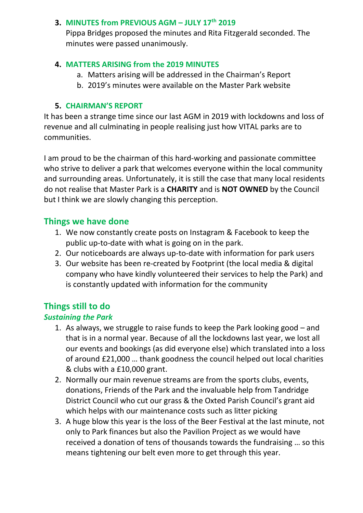#### **3. MINUTES from PREVIOUS AGM – JULY 17th 2019**

Pippa Bridges proposed the minutes and Rita Fitzgerald seconded. The minutes were passed unanimously.

### **4. MATTERS ARISING from the 2019 MINUTES**

- a. Matters arising will be addressed in the Chairman's Report
- b. 2019's minutes were available on the Master Park website

# **5. CHAIRMAN'S REPORT**

It has been a strange time since our last AGM in 2019 with lockdowns and loss of revenue and all culminating in people realising just how VITAL parks are to communities.

I am proud to be the chairman of this hard-working and passionate committee who strive to deliver a park that welcomes everyone within the local community and surrounding areas. Unfortunately, it is still the case that many local residents do not realise that Master Park is a **CHARITY** and is **NOT OWNED** by the Council but I think we are slowly changing this perception.

# **Things we have done**

- 1. We now constantly create posts on Instagram & Facebook to keep the public up-to-date with what is going on in the park.
- 2. Our noticeboards are always up-to-date with information for park users
- 3. Our website has been re-created by Footprint (the local media & digital company who have kindly volunteered their services to help the Park) and is constantly updated with information for the community

# **Things still to do**

# *Sustaining the Park*

- 1. As always, we struggle to raise funds to keep the Park looking good and that is in a normal year. Because of all the lockdowns last year, we lost all our events and bookings (as did everyone else) which translated into a loss of around £21,000 … thank goodness the council helped out local charities & clubs with a £10,000 grant.
- 2. Normally our main revenue streams are from the sports clubs, events, donations, Friends of the Park and the invaluable help from Tandridge District Council who cut our grass & the Oxted Parish Council's grant aid which helps with our maintenance costs such as litter picking
- 3. A huge blow this year is the loss of the Beer Festival at the last minute, not only to Park finances but also the Pavilion Project as we would have received a donation of tens of thousands towards the fundraising … so this means tightening our belt even more to get through this year.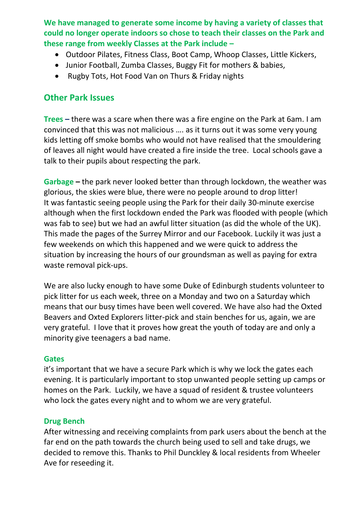**We have managed to generate some income by having a variety of classes that could no longer operate indoors so chose to teach their classes on the Park and these range from weekly Classes at the Park include –**

- Outdoor Pilates, Fitness Class, Boot Camp, Whoop Classes, Little Kickers,
- Junior Football, Zumba Classes, Buggy Fit for mothers & babies,
- Rugby Tots, Hot Food Van on Thurs & Friday nights

# **Other Park Issues**

**Trees –** there was a scare when there was a fire engine on the Park at 6am. I am convinced that this was not malicious …. as it turns out it was some very young kids letting off smoke bombs who would not have realised that the smouldering of leaves all night would have created a fire inside the tree. Local schools gave a talk to their pupils about respecting the park.

**Garbage –** the park never looked better than through lockdown, the weather was glorious, the skies were blue, there were no people around to drop litter! It was fantastic seeing people using the Park for their daily 30-minute exercise although when the first lockdown ended the Park was flooded with people (which was fab to see) but we had an awful litter situation (as did the whole of the UK). This made the pages of the Surrey Mirror and our Facebook. Luckily it was just a few weekends on which this happened and we were quick to address the situation by increasing the hours of our groundsman as well as paying for extra waste removal pick-ups.

We are also lucky enough to have some Duke of Edinburgh students volunteer to pick litter for us each week, three on a Monday and two on a Saturday which means that our busy times have been well covered. We have also had the Oxted Beavers and Oxted Explorers litter-pick and stain benches for us, again, we are very grateful. I love that it proves how great the youth of today are and only a minority give teenagers a bad name.

### **Gates**

it's important that we have a secure Park which is why we lock the gates each evening. It is particularly important to stop unwanted people setting up camps or homes on the Park. Luckily, we have a squad of resident & trustee volunteers who lock the gates every night and to whom we are very grateful.

### **Drug Bench**

After witnessing and receiving complaints from park users about the bench at the far end on the path towards the church being used to sell and take drugs, we decided to remove this. Thanks to Phil Dunckley & local residents from Wheeler Ave for reseeding it.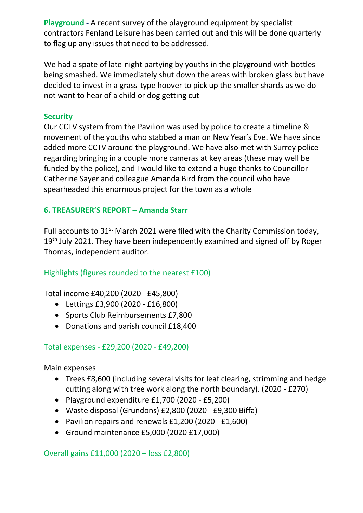**Playground -** A recent survey of the playground equipment by specialist contractors Fenland Leisure has been carried out and this will be done quarterly to flag up any issues that need to be addressed.

We had a spate of late-night partying by youths in the playground with bottles being smashed. We immediately shut down the areas with broken glass but have decided to invest in a grass-type hoover to pick up the smaller shards as we do not want to hear of a child or dog getting cut

#### **Security**

Our CCTV system from the Pavilion was used by police to create a timeline & movement of the youths who stabbed a man on New Year's Eve. We have since added more CCTV around the playground. We have also met with Surrey police regarding bringing in a couple more cameras at key areas (these may well be funded by the police), and I would like to extend a huge thanks to Councillor Catherine Sayer and colleague Amanda Bird from the council who have spearheaded this enormous project for the town as a whole

### **6. TREASURER'S REPORT – Amanda Starr**

Full accounts to 31<sup>st</sup> March 2021 were filed with the Charity Commission today, 19<sup>th</sup> July 2021. They have been independently examined and signed off by Roger Thomas, independent auditor.

### Highlights (figures rounded to the nearest £100)

Total income £40,200 (2020 - £45,800)

- Lettings £3,900 (2020 £16,800)
- Sports Club Reimbursements £7,800
- Donations and parish council £18,400

#### Total expenses - £29,200 (2020 - £49,200)

Main expenses

- Trees £8,600 (including several visits for leaf clearing, strimming and hedge cutting along with tree work along the north boundary). (2020 - £270)
- Playground expenditure £1,700 (2020 £5,200)
- Waste disposal (Grundons) £2,800 (2020 £9,300 Biffa)
- Pavilion repairs and renewals £1,200 (2020 £1,600)
- Ground maintenance £5,000 (2020 £17,000)

Overall gains £11,000 (2020 – loss £2,800)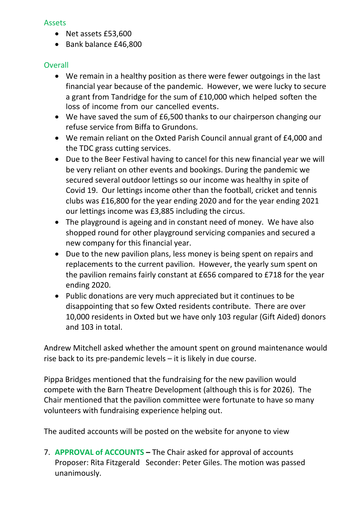#### Assets

- Net assets £53,600
- Bank balance £46,800

### **Overall**

- We remain in a healthy position as there were fewer outgoings in the last financial year because of the pandemic. However, we were lucky to secure a grant from Tandridge for the sum of £10,000 which helped soften the loss of income from our cancelled events.
- We have saved the sum of £6,500 thanks to our chairperson changing our refuse service from Biffa to Grundons.
- We remain reliant on the Oxted Parish Council annual grant of £4,000 and the TDC grass cutting services.
- Due to the Beer Festival having to cancel for this new financial year we will be very reliant on other events and bookings. During the pandemic we secured several outdoor lettings so our income was healthy in spite of Covid 19. Our lettings income other than the football, cricket and tennis clubs was £16,800 for the year ending 2020 and for the year ending 2021 our lettings income was £3,885 including the circus.
- The playground is ageing and in constant need of money. We have also shopped round for other playground servicing companies and secured a new company for this financial year.
- Due to the new pavilion plans, less money is being spent on repairs and replacements to the current pavilion. However, the yearly sum spent on the pavilion remains fairly constant at £656 compared to £718 for the year ending 2020.
- Public donations are very much appreciated but it continues to be disappointing that so few Oxted residents contribute. There are over 10,000 residents in Oxted but we have only 103 regular (Gift Aided) donors and 103 in total.

Andrew Mitchell asked whether the amount spent on ground maintenance would rise back to its pre-pandemic levels – it is likely in due course.

Pippa Bridges mentioned that the fundraising for the new pavilion would compete with the Barn Theatre Development (although this is for 2026). The Chair mentioned that the pavilion committee were fortunate to have so many volunteers with fundraising experience helping out.

The audited accounts will be posted on the website for anyone to view

7. **APPROVAL of ACCOUNTS –** The Chair asked for approval of accounts Proposer: Rita Fitzgerald Seconder: Peter Giles. The motion was passed unanimously.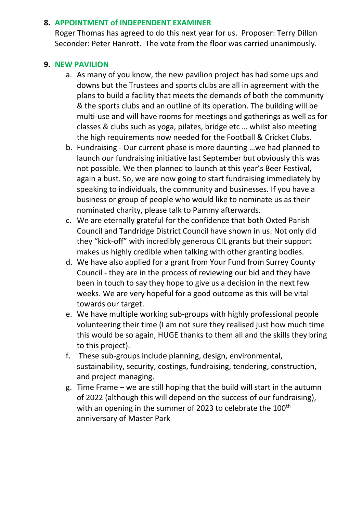#### **8. APPOINTMENT of INDEPENDENT EXAMINER**

Roger Thomas has agreed to do this next year for us. Proposer: Terry Dillon Seconder: Peter Hanrott. The vote from the floor was carried unanimously.

#### **9. NEW PAVILION**

- a. As many of you know, the new pavilion project has had some ups and downs but the Trustees and sports clubs are all in agreement with the plans to build a facility that meets the demands of both the community & the sports clubs and an outline of its operation. The building will be multi-use and will have rooms for meetings and gatherings as well as for classes & clubs such as yoga, pilates, bridge etc … whilst also meeting the high requirements now needed for the Football & Cricket Clubs.
- b. Fundraising Our current phase is more daunting …we had planned to launch our fundraising initiative last September but obviously this was not possible. We then planned to launch at this year's Beer Festival, again a bust. So, we are now going to start fundraising immediately by speaking to individuals, the community and businesses. If you have a business or group of people who would like to nominate us as their nominated charity, please talk to Pammy afterwards.
- c. We are eternally grateful for the confidence that both Oxted Parish Council and Tandridge District Council have shown in us. Not only did they "kick-off" with incredibly generous CIL grants but their support makes us highly credible when talking with other granting bodies.
- d. We have also applied for a grant from Your Fund from Surrey County Council - they are in the process of reviewing our bid and they have been in touch to say they hope to give us a decision in the next few weeks. We are very hopeful for a good outcome as this will be vital towards our target.
- e. We have multiple working sub-groups with highly professional people volunteering their time (I am not sure they realised just how much time this would be so again, HUGE thanks to them all and the skills they bring to this project).
- f. These sub-groups include planning, design, environmental, sustainability, security, costings, fundraising, tendering, construction, and project managing.
- g. Time Frame we are still hoping that the build will start in the autumn of 2022 (although this will depend on the success of our fundraising), with an opening in the summer of 2023 to celebrate the 100<sup>th</sup> anniversary of Master Park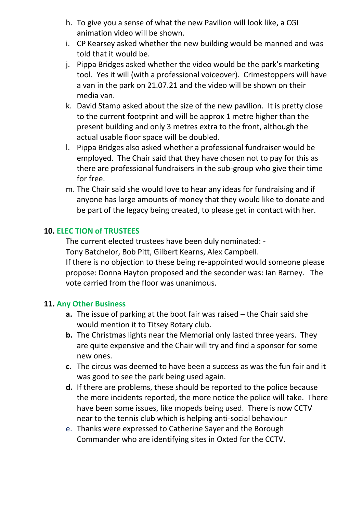- h. To give you a sense of what the new Pavilion will look like, a CGI animation video will be shown.
- i. CP Kearsey asked whether the new building would be manned and was told that it would be.
- j. Pippa Bridges asked whether the video would be the park's marketing tool. Yes it will (with a professional voiceover). Crimestoppers will have a van in the park on 21.07.21 and the video will be shown on their media van.
- k. David Stamp asked about the size of the new pavilion. It is pretty close to the current footprint and will be approx 1 metre higher than the present building and only 3 metres extra to the front, although the actual usable floor space will be doubled.
- l. Pippa Bridges also asked whether a professional fundraiser would be employed. The Chair said that they have chosen not to pay for this as there are professional fundraisers in the sub-group who give their time for free.
- m. The Chair said she would love to hear any ideas for fundraising and if anyone has large amounts of money that they would like to donate and be part of the legacy being created, to please get in contact with her.

#### **10. ELEC TION of TRUSTEES**

The current elected trustees have been duly nominated: -

Tony Batchelor, Bob Pitt, Gilbert Kearns, Alex Campbell.

If there is no objection to these being re-appointed would someone please propose: Donna Hayton proposed and the seconder was: Ian Barney. The vote carried from the floor was unanimous.

#### **11. Any Other Business**

- **a.** The issue of parking at the boot fair was raised the Chair said she would mention it to Titsey Rotary club.
- **b.** The Christmas lights near the Memorial only lasted three years. They are quite expensive and the Chair will try and find a sponsor for some new ones.
- **c.** The circus was deemed to have been a success as was the fun fair and it was good to see the park being used again.
- **d.** If there are problems, these should be reported to the police because the more incidents reported, the more notice the police will take. There have been some issues, like mopeds being used. There is now CCTV near to the tennis club which is helping anti-social behaviour
- e. Thanks were expressed to Catherine Sayer and the Borough Commander who are identifying sites in Oxted for the CCTV.